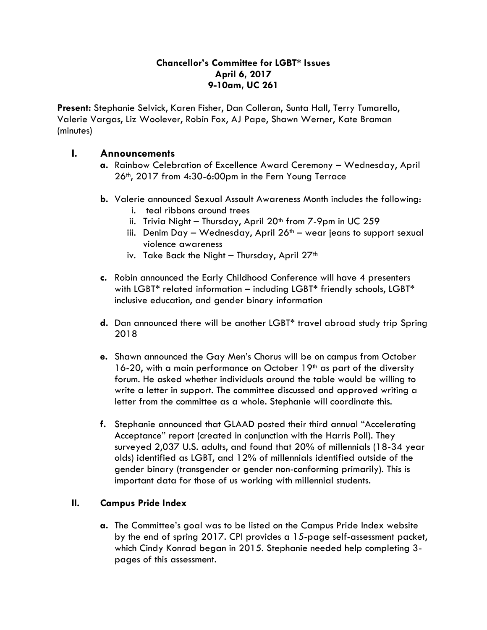## **Chancellor's Committee for LGBT\* Issues April 6, 2017 9-10am, UC 261**

**Present:** Stephanie Selvick, Karen Fisher, Dan Colleran, Sunta Hall, Terry Tumarello, Valerie Vargas, Liz Woolever, Robin Fox, AJ Pape, Shawn Werner, Kate Braman (minutes)

## **I. Announcements**

- **a.** Rainbow Celebration of Excellence Award Ceremony Wednesday, April 26th, 2017 from 4:30-6:00pm in the Fern Young Terrace
- **b.** Valerie announced Sexual Assault Awareness Month includes the following:
	- i. teal ribbons around trees
	- ii. Trivia Night Thursday, April  $20<sup>th</sup>$  from 7-9pm in UC 259
	- iii. Denim Day Wednesday, April  $26<sup>th</sup>$  wear jeans to support sexual violence awareness
	- iv. Take Back the Night Thursday, April  $27<sup>th</sup>$
- **c.** Robin announced the Early Childhood Conference will have 4 presenters with LGBT\* related information – including LGBT\* friendly schools, LGBT\* inclusive education, and gender binary information
- **d.** Dan announced there will be another LGBT\* travel abroad study trip Spring 2018
- **e.** Shawn announced the Gay Men's Chorus will be on campus from October 16-20, with a main performance on October  $19<sup>th</sup>$  as part of the diversity forum. He asked whether individuals around the table would be willing to write a letter in support. The committee discussed and approved writing a letter from the committee as a whole. Stephanie will coordinate this.
- **f.** Stephanie announced that GLAAD posted their third annual "Accelerating Acceptance" report (created in conjunction with the Harris Poll). They surveyed 2,037 U.S. adults, and found that 20% of millennials (18-34 year olds) identified as LGBT, and 12% of millennials identified outside of the gender binary (transgender or gender non-conforming primarily). This is important data for those of us working with millennial students.

## **II. Campus Pride Index**

**a.** The Committee's goal was to be listed on the Campus Pride Index website by the end of spring 2017. CPI provides a 15-page self-assessment packet, which Cindy Konrad began in 2015. Stephanie needed help completing 3 pages of this assessment.